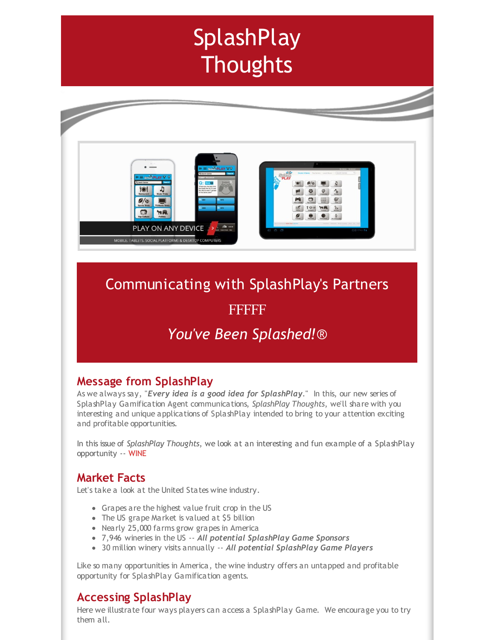# **SplashPlay Thoughts**



# Communicating with SplashPlay's Partners

# FFFFF

# *You've Been Splashed!*®

## **Message from SplashPlay**

As we always say, "*Every idea is a good idea for SplashPlay*." In this, our new series of SplashPlay Gamification Agent communications, *SplashPlay Thoughts*, we'll share with you interesting and unique applications of SplashPlay intended to bring to your attention exciting and profitable opportunities.

In this issue of *SplashPlay Thoughts*, we look at an interesting and fun example of a SplashPlay opportunity -- WINE

### **Market Facts**

Let's take a look at the United States wine industry.

- Grapes are the highest value fruit crop in the US
- The US grape Market is valued at \$5 billion
- Nearly 25,000 farms grow grapes in America
- 7,946 wineries in the US -- *All potential SplashPlay Game Sponsors*
- 30 million winery visits annually -- *All potential SplashPlay Game Players*

Like so many opportunities in America, the wine industry offers an untapped and profitable opportunity for SplashPlay Gamification agents.

### **Accessing SplashPlay**

Here we illustrate four ways players can access a SplashPlay Game. We encourage you to try them all.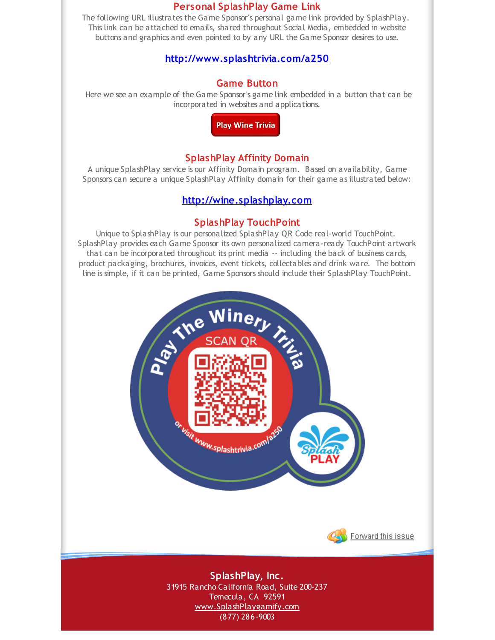#### **Personal SplashPlay Game Link**

The following URL illustrates the Game Sponsor's personal game link provided by SplashPlay. This link can be attached to emails, shared throughout Social Media, embedded in website buttons and graphics and even pointed to by any URL the Game Sponsor desires to use.

#### **[http://www.splashtrivia.com/a250](http://r20.rs6.net/tn.jsp?f=001gLeyAnvko-eWias6j7_QlF0uL5nOUurBuKRjUpyUjOXFN9DvpTHcyVfvCcifwNFGNLHiyzqoJvkKqxymb3nzNvbpxO4jpj4OnlM-ToScSWuiuwkvaECCiWRzLlxmpfU1SpQN-Ig0Q3UW7VVSp0sd7gV7tWgB2h75wmt-BK4DxLLD3A0o7XuFbA==&c=&ch=)**

#### **Game Button**

Here we see an example of the Game Sponsor's game link embedded in a button that can be incorporated in websites and applications.

**Play Wine Trivia** 

#### **SplashPlay Affinity Domain**

A unique SplashPlay service is our Affinity Domain program. Based on availability, Game Sponsors can secure a unique SplashPlay Affinity domain for their game as illustrated below:

#### **[http://wine.splashplay.com](http://r20.rs6.net/tn.jsp?f=001gLeyAnvko-eWias6j7_QlF0uL5nOUurBuKRjUpyUjOXFN9DvpTHcyVfvCcifwNFG2s4QuF3sPuAKzOnOgVBheEHJdO2HBJlClce-rvUuZj2rzvdGTPg_NW52xVSgHL1aZ0dKJ62Z53LLtG5LI1mQL8a_5sbY3t5ut2w3IB-Mqt0=&c=&ch=)**

#### **SplashPlay TouchPoint**

Unique to SplashPlay is our personalized SplashPlay QR Code real-world TouchPoint. SplashPlay provides each Game Sponsor its own personalized camera-ready TouchPoint artwork that can be incorporated throughout its print media -- including the back of business cards, product packaging, brochures, invoices, event tickets, collectables and drink ware. The bottom line is simple, if it can be printed, Game Sponsors should include their SplashPlay TouchPoint.





**SplashPlay, Inc.** 31915 Rancho California Road, Suite 200-237 Temecula, CA 92591 [www.SplashPlaygamify.com](http://r20.rs6.net/tn.jsp?f=001gLeyAnvko-eWias6j7_QlF0uL5nOUurBuKRjUpyUjOXFN9DvpTHcybAhB9kMWmj-0z3ai50Tdlc-qsbR2O0iqyp1UX8-D2eerCuMV_N8AWyJIdmEqVPmEH1WJbDldUo1Ph4975MSzI7AtmM4p-O9ijOJrgPLGMGh9bPMU4ynOY4=&c=&ch=) (877) 286-9003